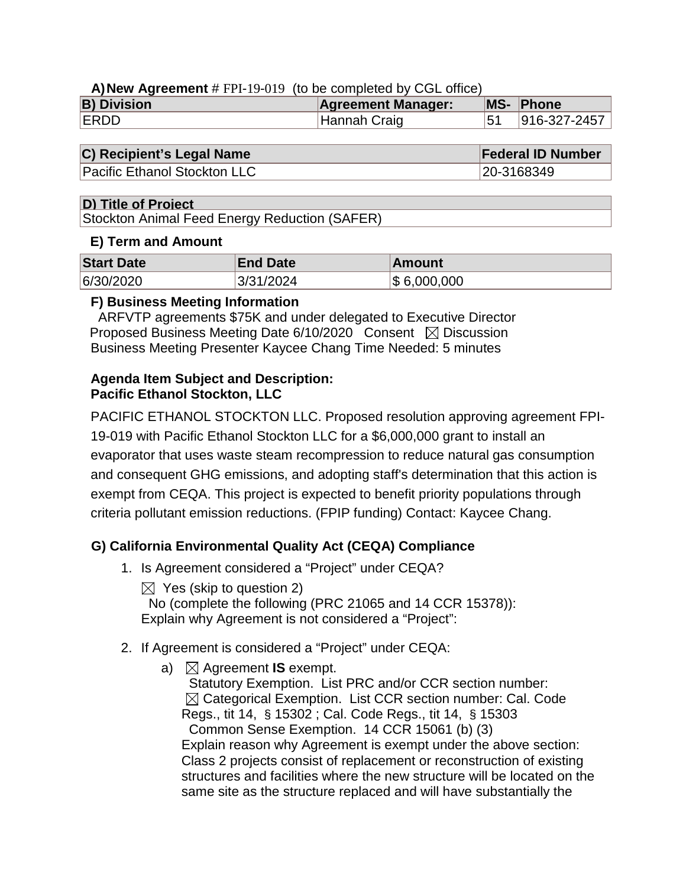## **A)New Agreement** # FPI-19-019 (to be completed by CGL office)

| <b>B) Division</b> | <b>Agreement Manager:</b> | MS- Phone    |
|--------------------|---------------------------|--------------|
| <b>ERDD</b>        | Hannah Craig              | 916-327-2457 |

## **C) Recipient's Legal Name Federal ID Number**

Pacific Ethanol Stockton LLC 20-3168349

## **D) Title of Project**

Stockton Animal Feed Energy Reduction (SAFER)

## **E) Term and Amount**

| <b>Start Date</b> | <b>End Date</b> | <b>Amount</b> |
|-------------------|-----------------|---------------|
| 6/30/2020         | 3/31/2024       | \$6,000,000   |

## **F) Business Meeting Information**

 ARFVTP agreements \$75K and under delegated to Executive Director Proposed Business Meeting Date  $6/10/2020$  Consent  $\boxtimes$  Discussion Business Meeting Presenter Kaycee Chang Time Needed: 5 minutes

## **Agenda Item Subject and Description: Pacific Ethanol Stockton, LLC**

PACIFIC ETHANOL STOCKTON LLC. Proposed resolution approving agreement FPI-19-019 with Pacific Ethanol Stockton LLC for a \$6,000,000 grant to install an evaporator that uses waste steam recompression to reduce natural gas consumption and consequent GHG emissions, and adopting staff's determination that this action is exempt from CEQA. This project is expected to benefit priority populations through criteria pollutant emission reductions. (FPIP funding) Contact: Kaycee Chang.

## **G) California Environmental Quality Act (CEQA) Compliance**

1. Is Agreement considered a "Project" under CEQA?

 $\boxtimes$  Yes (skip to question 2) No (complete the following (PRC 21065 and 14 CCR 15378)): Explain why Agreement is not considered a "Project":

- 2. If Agreement is considered a "Project" under CEQA:
	- a)  $\boxtimes$  Agreement **IS** exempt.

 Statutory Exemption. List PRC and/or CCR section number:  $\boxtimes$  Categorical Exemption. List CCR section number: Cal. Code Regs., tit 14, § 15302 ; Cal. Code Regs., tit 14, § 15303 Common Sense Exemption. 14 CCR 15061 (b) (3) Explain reason why Agreement is exempt under the above section: Class 2 projects consist of replacement or reconstruction of existing structures and facilities where the new structure will be located on the same site as the structure replaced and will have substantially the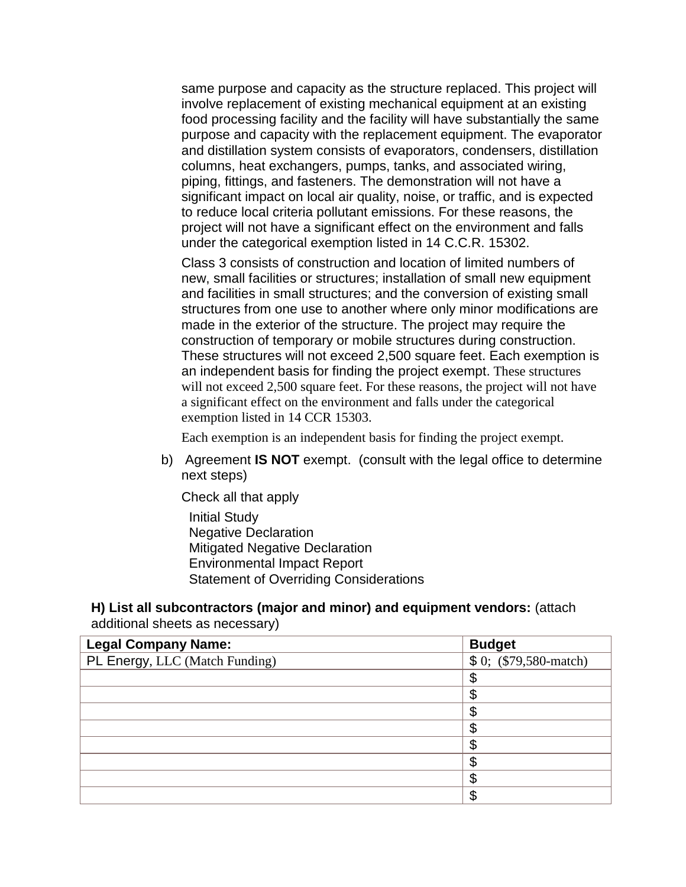same purpose and capacity as the structure replaced. This project will involve replacement of existing mechanical equipment at an existing food processing facility and the facility will have substantially the same purpose and capacity with the replacement equipment. The evaporator and distillation system consists of evaporators, condensers, distillation columns, heat exchangers, pumps, tanks, and associated wiring, piping, fittings, and fasteners. The demonstration will not have a significant impact on local air quality, noise, or traffic, and is expected to reduce local criteria pollutant emissions. For these reasons, the project will not have a significant effect on the environment and falls under the categorical exemption listed in 14 C.C.R. 15302.

Class 3 consists of construction and location of limited numbers of new, small facilities or structures; installation of small new equipment and facilities in small structures; and the conversion of existing small structures from one use to another where only minor modifications are made in the exterior of the structure. The project may require the construction of temporary or mobile structures during construction. These structures will not exceed 2,500 square feet. Each exemption is an independent basis for finding the project exempt. These structures will not exceed 2,500 square feet. For these reasons, the project will not have a significant effect on the environment and falls under the categorical exemption listed in 14 CCR 15303.

Each exemption is an independent basis for finding the project exempt.

b) Agreement **IS NOT** exempt. (consult with the legal office to determine next steps)

Check all that apply Initial Study Negative Declaration Mitigated Negative Declaration Environmental Impact Report Statement of Overriding Considerations

## **H) List all subcontractors (major and minor) and equipment vendors:** (attach additional sheets as necessary)

| <b>Legal Company Name:</b>     | <b>Budget</b>                      |
|--------------------------------|------------------------------------|
| PL Energy, LLC (Match Funding) | $\overline{\$}0;$ (\$79,580-match) |
|                                | \$                                 |
|                                | \$                                 |
|                                | \$                                 |
|                                | \$                                 |
|                                | \$                                 |
|                                | \$                                 |
|                                | \$                                 |
|                                | \$                                 |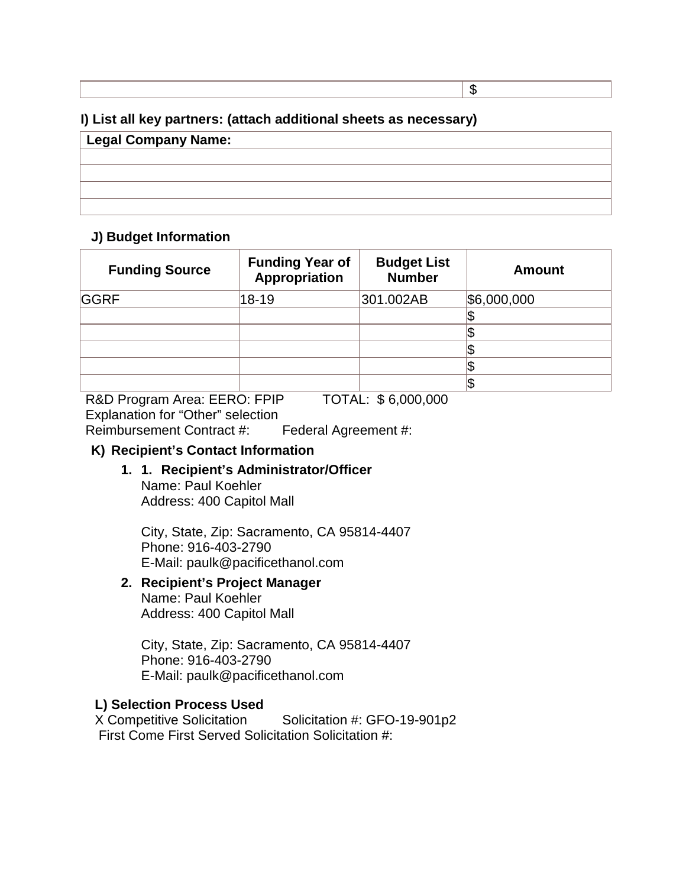# **I) List all key partners: (attach additional sheets as necessary)**

| <b>Legal Company Name:</b> |  |  |
|----------------------------|--|--|
|                            |  |  |
|                            |  |  |
|                            |  |  |
|                            |  |  |

\$

## **J) Budget Information**

| <b>Funding Source</b> | <b>Funding Year of</b><br><b>Appropriation</b> | <b>Budget List</b><br><b>Number</b> | <b>Amount</b> |
|-----------------------|------------------------------------------------|-------------------------------------|---------------|
| <b>GGRF</b>           | 18-19                                          | 301.002AB                           | \$6,000,000   |
|                       |                                                |                                     |               |
|                       |                                                |                                     |               |
|                       |                                                |                                     |               |
|                       |                                                |                                     |               |
|                       |                                                |                                     |               |

R&D Program Area: EERO: FPIP TOTAL: \$ 6,000,000 Explanation for "Other" selection Reimbursement Contract #: Federal Agreement #:

## **K) Recipient's Contact Information**

**1. 1. Recipient's Administrator/Officer** Name: Paul Koehler Address: 400 Capitol Mall

City, State, Zip: Sacramento, CA 95814-4407 Phone: 916-403-2790 E-Mail: paulk@pacificethanol.com

## **2. Recipient's Project Manager**

Name: Paul Koehler Address: 400 Capitol Mall

City, State, Zip: Sacramento, CA 95814-4407 Phone: 916-403-2790 E-Mail: paulk@pacificethanol.com

## **L) Selection Process Used**

X Competitive Solicitation Solicitation #: GFO-19-901p2 First Come First Served Solicitation Solicitation #: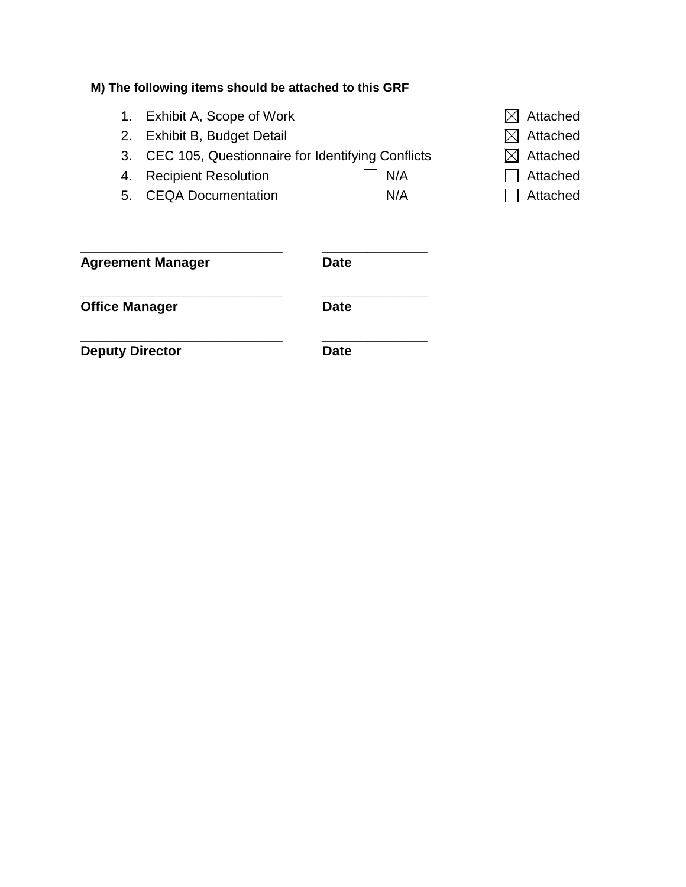# **M) The following items should be attached to this GRF**

- 1. Exhibit A, Scope of Work  $\boxtimes$  Attached
- 2. Exhibit B, Budget Detail  $\Box$  Attached
- 3. CEC 105, Questionnaire for Identifying Conflicts  $\boxtimes$  Attached
- 4. Recipient Resolution  $\Box$  N/A  $\Box$  Attached
- 5. CEQA Documentation  $\Box$  N/A  $\Box$  Attached
- 

- 
- 
- 

| <b>Agreement Manager</b> | <b>Date</b> |
|--------------------------|-------------|
| <b>Office Manager</b>    | <b>Date</b> |
| <b>Deputy Director</b>   | Date        |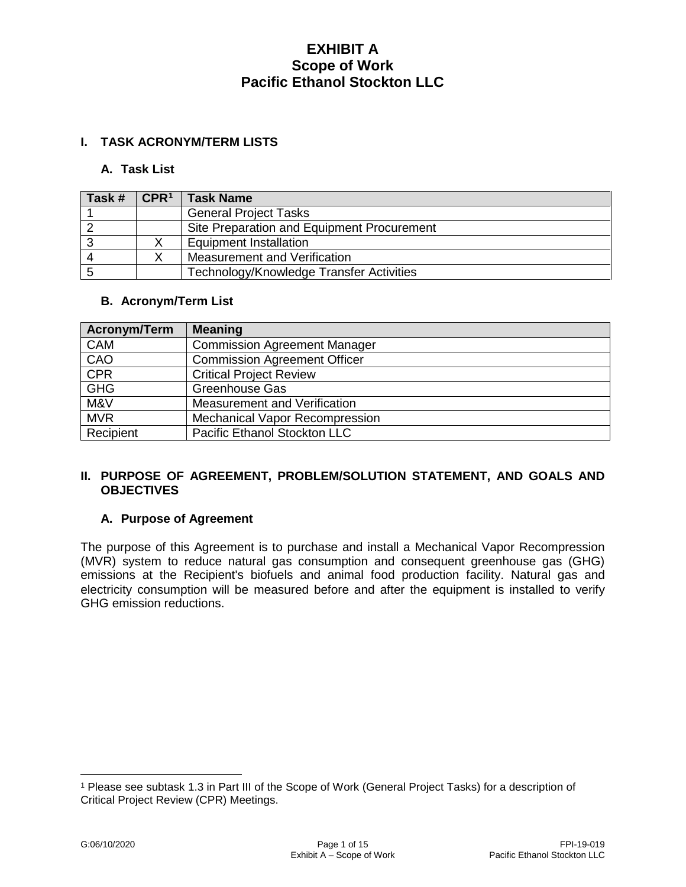## **I. TASK ACRONYM/TERM LISTS**

#### **A. Task List**

| Task # | $\mathsf{CPR}^1$ | <b>Task Name</b>                           |
|--------|------------------|--------------------------------------------|
|        |                  | <b>General Project Tasks</b>               |
|        |                  | Site Preparation and Equipment Procurement |
|        |                  | <b>Equipment Installation</b>              |
| -4     |                  | Measurement and Verification               |
|        |                  | Technology/Knowledge Transfer Activities   |

### **B. Acronym/Term List**

| Acronym/Term | <b>Meaning</b>                      |
|--------------|-------------------------------------|
| <b>CAM</b>   | <b>Commission Agreement Manager</b> |
| CAO          | <b>Commission Agreement Officer</b> |
| <b>CPR</b>   | <b>Critical Project Review</b>      |
| <b>GHG</b>   | <b>Greenhouse Gas</b>               |
| M&V          | Measurement and Verification        |
| <b>MVR</b>   | Mechanical Vapor Recompression      |
| Recipient    | Pacific Ethanol Stockton LLC        |

### **II. PURPOSE OF AGREEMENT, PROBLEM/SOLUTION STATEMENT, AND GOALS AND OBJECTIVES**

## **A. Purpose of Agreement**

The purpose of this Agreement is to purchase and install a Mechanical Vapor Recompression (MVR) system to reduce natural gas consumption and consequent greenhouse gas (GHG) emissions at the Recipient's biofuels and animal food production facility. Natural gas and electricity consumption will be measured before and after the equipment is installed to verify GHG emission reductions.

 $\overline{a}$ 

<span id="page-4-0"></span><sup>1</sup> Please see subtask 1.3 in Part III of the Scope of Work (General Project Tasks) for a description of Critical Project Review (CPR) Meetings.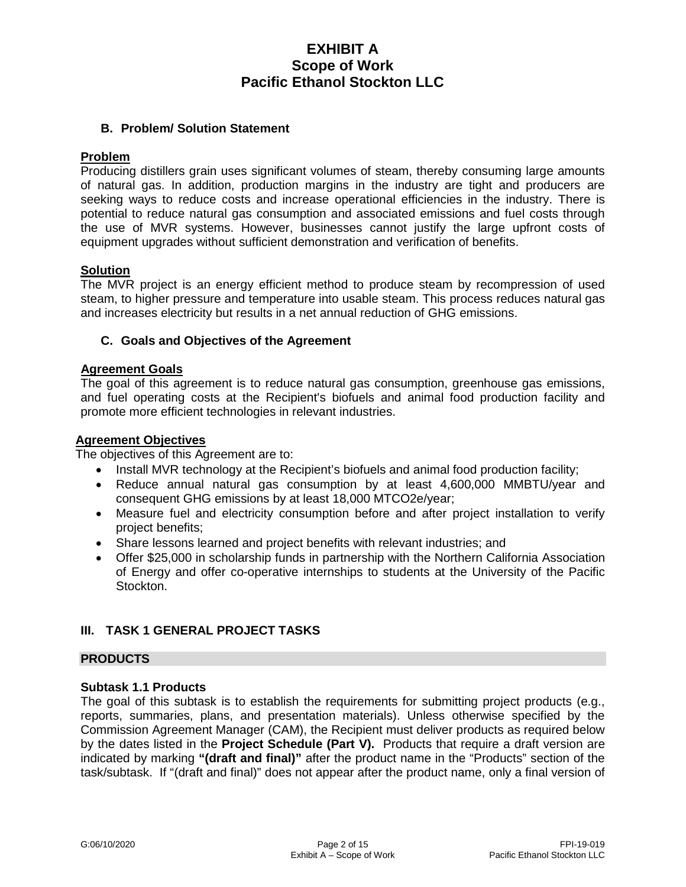### **B. Problem/ Solution Statement**

### **Problem**

Producing distillers grain uses significant volumes of steam, thereby consuming large amounts of natural gas. In addition, production margins in the industry are tight and producers are seeking ways to reduce costs and increase operational efficiencies in the industry. There is potential to reduce natural gas consumption and associated emissions and fuel costs through the use of MVR systems. However, businesses cannot justify the large upfront costs of equipment upgrades without sufficient demonstration and verification of benefits.

#### **Solution**

The MVR project is an energy efficient method to produce steam by recompression of used steam, to higher pressure and temperature into usable steam. This process reduces natural gas and increases electricity but results in a net annual reduction of GHG emissions.

### **C. Goals and Objectives of the Agreement**

#### **Agreement Goals**

The goal of this agreement is to reduce natural gas consumption, greenhouse gas emissions, and fuel operating costs at the Recipient's biofuels and animal food production facility and promote more efficient technologies in relevant industries.

#### **Agreement Objectives**

The objectives of this Agreement are to:

- Install MVR technology at the Recipient's biofuels and animal food production facility;
- Reduce annual natural gas consumption by at least 4,600,000 MMBTU/year and consequent GHG emissions by at least 18,000 MTCO2e/year;
- Measure fuel and electricity consumption before and after project installation to verify project benefits;
- Share lessons learned and project benefits with relevant industries; and
- Offer \$25,000 in scholarship funds in partnership with the Northern California Association of Energy and offer co-operative internships to students at the University of the Pacific Stockton.

## **III. TASK 1 GENERAL PROJECT TASKS**

#### **PRODUCTS**

#### **Subtask 1.1 Products**

The goal of this subtask is to establish the requirements for submitting project products (e.g., reports, summaries, plans, and presentation materials). Unless otherwise specified by the Commission Agreement Manager (CAM), the Recipient must deliver products as required below by the dates listed in the **Project Schedule (Part V).** Products that require a draft version are indicated by marking **"(draft and final)"** after the product name in the "Products" section of the task/subtask. If "(draft and final)" does not appear after the product name, only a final version of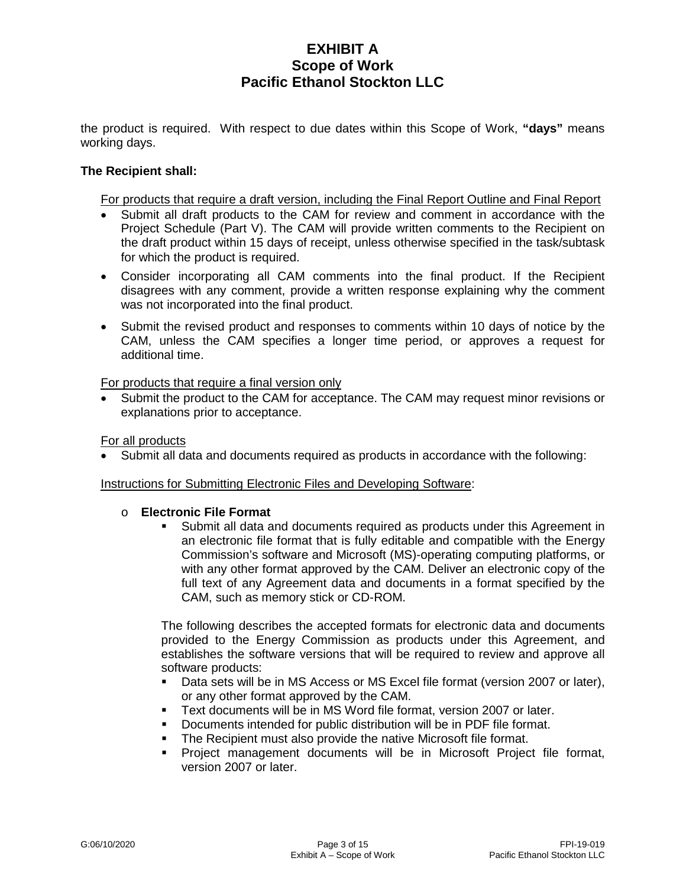the product is required. With respect to due dates within this Scope of Work, **"days"** means working days.

### **The Recipient shall:**

For products that require a draft version, including the Final Report Outline and Final Report

- Submit all draft products to the CAM for review and comment in accordance with the Project Schedule (Part V). The CAM will provide written comments to the Recipient on the draft product within 15 days of receipt, unless otherwise specified in the task/subtask for which the product is required.
- Consider incorporating all CAM comments into the final product. If the Recipient disagrees with any comment, provide a written response explaining why the comment was not incorporated into the final product.
- Submit the revised product and responses to comments within 10 days of notice by the CAM, unless the CAM specifies a longer time period, or approves a request for additional time.

For products that require a final version only

• Submit the product to the CAM for acceptance. The CAM may request minor revisions or explanations prior to acceptance.

For all products

Submit all data and documents required as products in accordance with the following:

Instructions for Submitting Electronic Files and Developing Software:

o **Electronic File Format**

 Submit all data and documents required as products under this Agreement in an electronic file format that is fully editable and compatible with the Energy Commission's software and Microsoft (MS)-operating computing platforms, or with any other format approved by the CAM. Deliver an electronic copy of the full text of any Agreement data and documents in a format specified by the CAM, such as memory stick or CD-ROM.

The following describes the accepted formats for electronic data and documents provided to the Energy Commission as products under this Agreement, and establishes the software versions that will be required to review and approve all software products:

- Data sets will be in MS Access or MS Excel file format (version 2007 or later), or any other format approved by the CAM.
- Text documents will be in MS Word file format, version 2007 or later.
- Documents intended for public distribution will be in PDF file format.
- **The Recipient must also provide the native Microsoft file format.**
- Project management documents will be in Microsoft Project file format, version 2007 or later.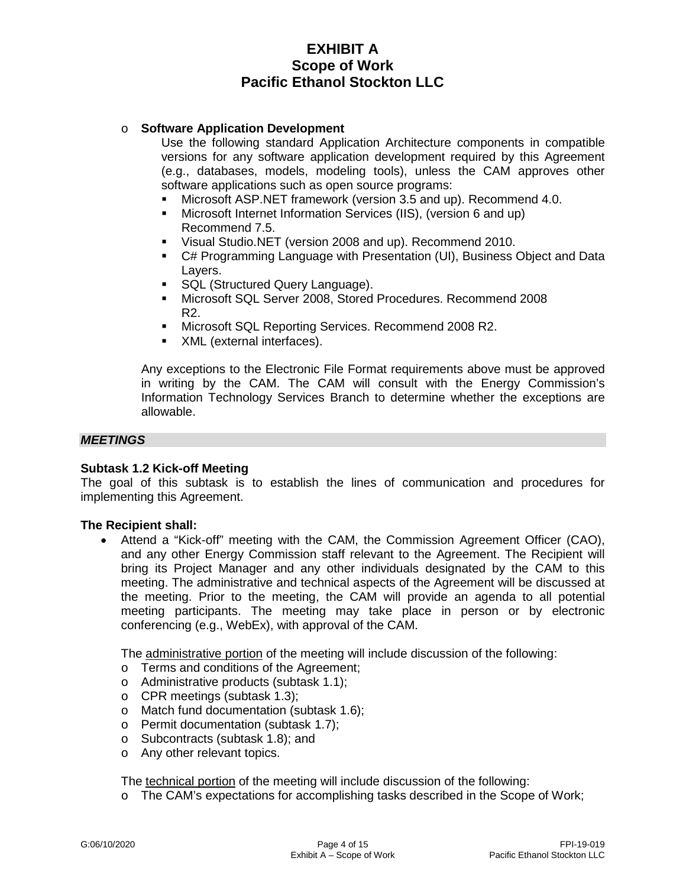### o **Software Application Development**

Use the following standard Application Architecture components in compatible versions for any software application development required by this Agreement (e.g., databases, models, modeling tools), unless the CAM approves other software applications such as open source programs:

- Microsoft ASP.NET framework (version 3.5 and up). Recommend 4.0.
- Microsoft Internet Information Services (IIS), (version 6 and up) Recommend 7.5.
- Visual Studio.NET (version 2008 and up). Recommend 2010.
- C# Programming Language with Presentation (UI), Business Object and Data Layers.
- SQL (Structured Query Language).
- Microsoft SQL Server 2008, Stored Procedures. Recommend 2008 R2.
- **Microsoft SQL Reporting Services. Recommend 2008 R2.**
- XML (external interfaces).

Any exceptions to the Electronic File Format requirements above must be approved in writing by the CAM. The CAM will consult with the Energy Commission's Information Technology Services Branch to determine whether the exceptions are allowable.

### *MEETINGS*

#### **Subtask 1.2 Kick-off Meeting**

The goal of this subtask is to establish the lines of communication and procedures for implementing this Agreement.

#### **The Recipient shall:**

• Attend a "Kick-off" meeting with the CAM, the Commission Agreement Officer (CAO), and any other Energy Commission staff relevant to the Agreement. The Recipient will bring its Project Manager and any other individuals designated by the CAM to this meeting. The administrative and technical aspects of the Agreement will be discussed at the meeting. Prior to the meeting, the CAM will provide an agenda to all potential meeting participants. The meeting may take place in person or by electronic conferencing (e.g., WebEx), with approval of the CAM.

The administrative portion of the meeting will include discussion of the following:

- o Terms and conditions of the Agreement;
- o Administrative products (subtask 1.1);
- o CPR meetings (subtask 1.3);
- o Match fund documentation (subtask 1.6);
- o Permit documentation (subtask 1.7);
- o Subcontracts (subtask 1.8); and
- o Any other relevant topics.

The technical portion of the meeting will include discussion of the following:

o The CAM's expectations for accomplishing tasks described in the Scope of Work;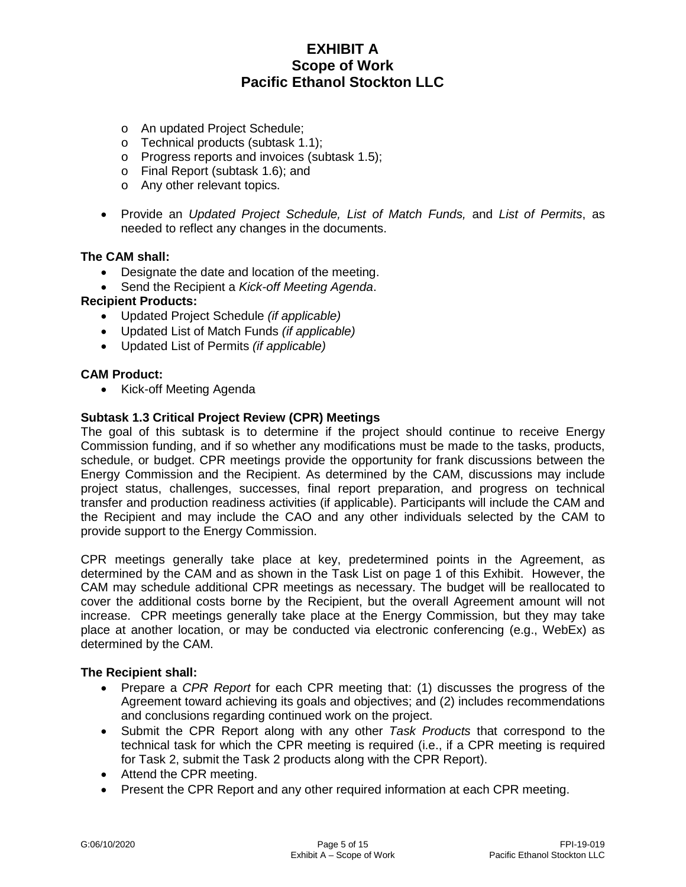- o An updated Project Schedule;
- o Technical products (subtask 1.1);
- o Progress reports and invoices (subtask 1.5);
- o Final Report (subtask 1.6); and
- o Any other relevant topics.
- Provide an *Updated Project Schedule, List of Match Funds,* and *List of Permits*, as needed to reflect any changes in the documents.

#### **The CAM shall:**

- Designate the date and location of the meeting.
- Send the Recipient a *Kick-off Meeting Agenda*.

#### **Recipient Products:**

- Updated Project Schedule *(if applicable)*
- Updated List of Match Funds *(if applicable)*
- Updated List of Permits *(if applicable)*

#### **CAM Product:**

• Kick-off Meeting Agenda

#### **Subtask 1.3 Critical Project Review (CPR) Meetings**

The goal of this subtask is to determine if the project should continue to receive Energy Commission funding, and if so whether any modifications must be made to the tasks, products, schedule, or budget. CPR meetings provide the opportunity for frank discussions between the Energy Commission and the Recipient. As determined by the CAM, discussions may include project status, challenges, successes, final report preparation, and progress on technical transfer and production readiness activities (if applicable). Participants will include the CAM and the Recipient and may include the CAO and any other individuals selected by the CAM to provide support to the Energy Commission.

CPR meetings generally take place at key, predetermined points in the Agreement, as determined by the CAM and as shown in the Task List on page 1 of this Exhibit. However, the CAM may schedule additional CPR meetings as necessary. The budget will be reallocated to cover the additional costs borne by the Recipient, but the overall Agreement amount will not increase. CPR meetings generally take place at the Energy Commission, but they may take place at another location, or may be conducted via electronic conferencing (e.g., WebEx) as determined by the CAM.

- Prepare a *CPR Report* for each CPR meeting that: (1) discusses the progress of the Agreement toward achieving its goals and objectives; and (2) includes recommendations and conclusions regarding continued work on the project.
- Submit the CPR Report along with any other *Task Products* that correspond to the technical task for which the CPR meeting is required (i.e., if a CPR meeting is required for Task 2, submit the Task 2 products along with the CPR Report).
- Attend the CPR meeting.
- Present the CPR Report and any other required information at each CPR meeting.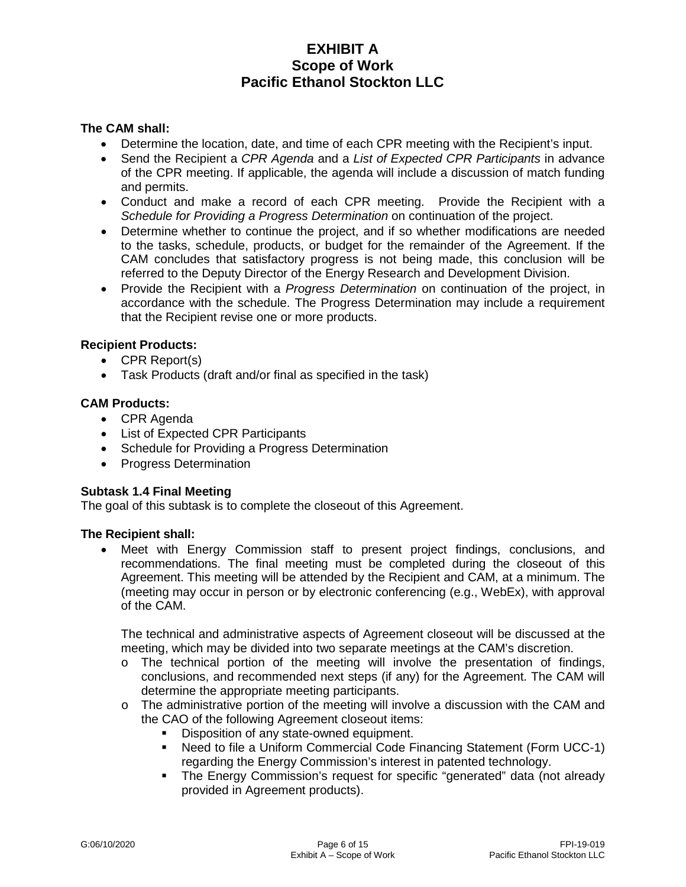### **The CAM shall:**

- Determine the location, date, and time of each CPR meeting with the Recipient's input.
- Send the Recipient a *CPR Agenda* and a *List of Expected CPR Participants* in advance of the CPR meeting. If applicable, the agenda will include a discussion of match funding and permits.
- Conduct and make a record of each CPR meeting. Provide the Recipient with a *Schedule for Providing a Progress Determination* on continuation of the project.
- Determine whether to continue the project, and if so whether modifications are needed to the tasks, schedule, products, or budget for the remainder of the Agreement. If the CAM concludes that satisfactory progress is not being made, this conclusion will be referred to the Deputy Director of the Energy Research and Development Division.
- Provide the Recipient with a *Progress Determination* on continuation of the project, in accordance with the schedule. The Progress Determination may include a requirement that the Recipient revise one or more products.

### **Recipient Products:**

- CPR Report(s)
- Task Products (draft and/or final as specified in the task)

### **CAM Products:**

- CPR Agenda
- List of Expected CPR Participants
- Schedule for Providing a Progress Determination
- Progress Determination

#### **Subtask 1.4 Final Meeting**

The goal of this subtask is to complete the closeout of this Agreement.

#### **The Recipient shall:**

• Meet with Energy Commission staff to present project findings, conclusions, and recommendations. The final meeting must be completed during the closeout of this Agreement. This meeting will be attended by the Recipient and CAM, at a minimum. The (meeting may occur in person or by electronic conferencing (e.g., WebEx), with approval of the CAM.

The technical and administrative aspects of Agreement closeout will be discussed at the meeting, which may be divided into two separate meetings at the CAM's discretion.

- $\circ$  The technical portion of the meeting will involve the presentation of findings, conclusions, and recommended next steps (if any) for the Agreement. The CAM will determine the appropriate meeting participants.
- $\circ$  The administrative portion of the meeting will involve a discussion with the CAM and the CAO of the following Agreement closeout items:
	- Disposition of any state-owned equipment.
	- Need to file a Uniform Commercial Code Financing Statement (Form UCC-1) regarding the Energy Commission's interest in patented technology.
	- The Energy Commission's request for specific "generated" data (not already provided in Agreement products).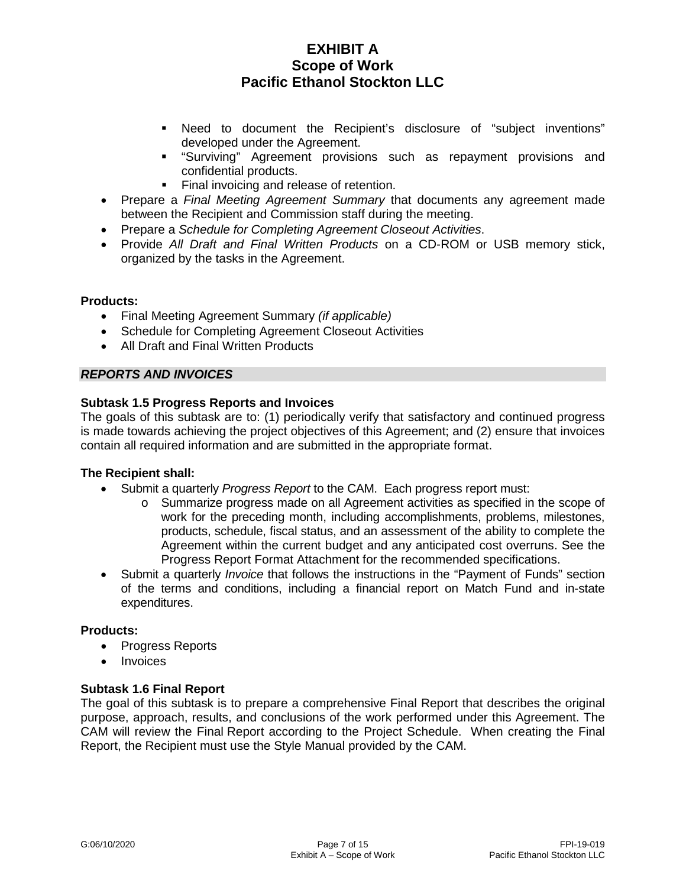- Need to document the Recipient's disclosure of "subject inventions" developed under the Agreement.
- "Surviving" Agreement provisions such as repayment provisions and confidential products.
- Final invoicing and release of retention.
- Prepare a *Final Meeting Agreement Summary* that documents any agreement made between the Recipient and Commission staff during the meeting.
- Prepare a *Schedule for Completing Agreement Closeout Activities*.
- Provide *All Draft and Final Written Products* on a CD-ROM or USB memory stick, organized by the tasks in the Agreement.

### **Products:**

- Final Meeting Agreement Summary *(if applicable)*
- Schedule for Completing Agreement Closeout Activities
- All Draft and Final Written Products

### *REPORTS AND INVOICES*

### **Subtask 1.5 Progress Reports and Invoices**

The goals of this subtask are to: (1) periodically verify that satisfactory and continued progress is made towards achieving the project objectives of this Agreement; and (2) ensure that invoices contain all required information and are submitted in the appropriate format.

#### **The Recipient shall:**

- Submit a quarterly *Progress Report* to the CAM. Each progress report must:
	- o Summarize progress made on all Agreement activities as specified in the scope of work for the preceding month, including accomplishments, problems, milestones, products, schedule, fiscal status, and an assessment of the ability to complete the Agreement within the current budget and any anticipated cost overruns. See the Progress Report Format Attachment for the recommended specifications.
- Submit a quarterly *Invoice* that follows the instructions in the "Payment of Funds" section of the terms and conditions, including a financial report on Match Fund and in-state expenditures.

#### **Products:**

- Progress Reports
- Invoices

## **Subtask 1.6 Final Report**

The goal of this subtask is to prepare a comprehensive Final Report that describes the original purpose, approach, results, and conclusions of the work performed under this Agreement. The CAM will review the Final Report according to the Project Schedule. When creating the Final Report, the Recipient must use the Style Manual provided by the CAM.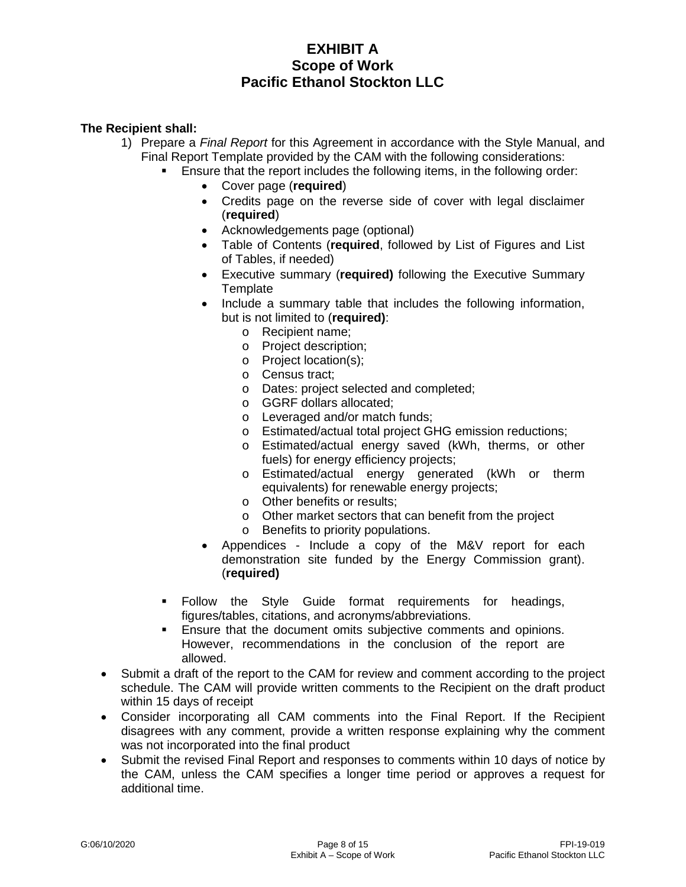- 1) Prepare a *Final Report* for this Agreement in accordance with the Style Manual, and Final Report Template provided by the CAM with the following considerations:
	- Ensure that the report includes the following items, in the following order:
		- Cover page (**required**)
		- Credits page on the reverse side of cover with legal disclaimer (**required**)
		- Acknowledgements page (optional)
		- Table of Contents (**required**, followed by List of Figures and List of Tables, if needed)
		- Executive summary (**required)** following the Executive Summary **Template**
		- Include a summary table that includes the following information, but is not limited to (**required)**:
			- o Recipient name;
			- o Project description;
			- o Project location(s);
			- o Census tract;
			- o Dates: project selected and completed;
			- o GGRF dollars allocated;
			- o Leveraged and/or match funds;
			- o Estimated/actual total project GHG emission reductions;
			- o Estimated/actual energy saved (kWh, therms, or other fuels) for energy efficiency projects;
			- o Estimated/actual energy generated (kWh or therm equivalents) for renewable energy projects;
			- o Other benefits or results;
			- o Other market sectors that can benefit from the project
			- o Benefits to priority populations.
		- Appendices Include a copy of the M&V report for each demonstration site funded by the Energy Commission grant). (**required)**
	- Follow the Style Guide format requirements for headings, figures/tables, citations, and acronyms/abbreviations.
	- **Ensure that the document omits subjective comments and opinions.** However, recommendations in the conclusion of the report are allowed.
- Submit a draft of the report to the CAM for review and comment according to the project schedule. The CAM will provide written comments to the Recipient on the draft product within 15 days of receipt
- Consider incorporating all CAM comments into the Final Report. If the Recipient disagrees with any comment, provide a written response explaining why the comment was not incorporated into the final product
- Submit the revised Final Report and responses to comments within 10 days of notice by the CAM, unless the CAM specifies a longer time period or approves a request for additional time.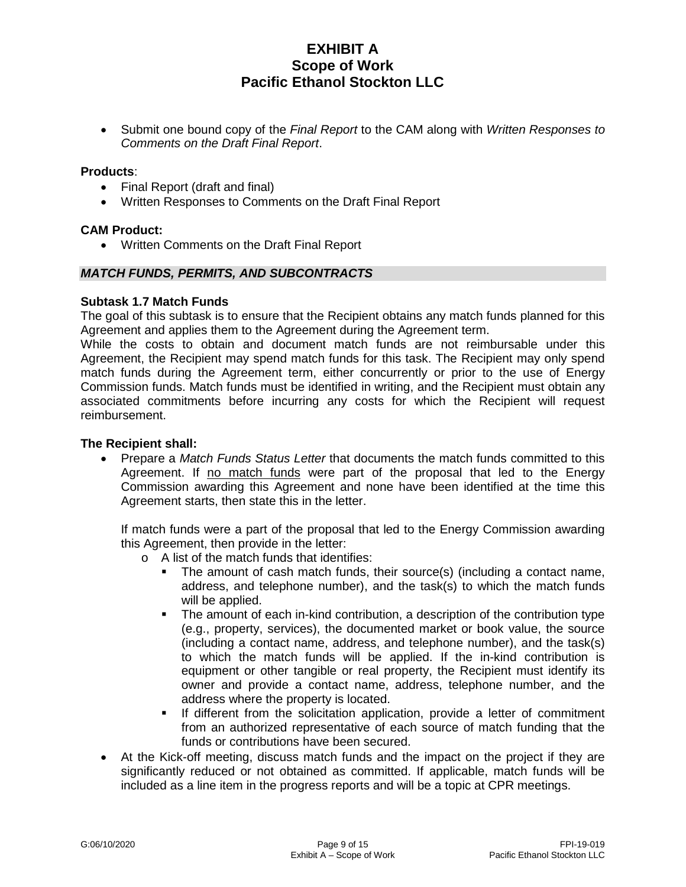• Submit one bound copy of the *Final Report* to the CAM along with *Written Responses to Comments on the Draft Final Report*.

#### **Products**:

- Final Report (draft and final)
- Written Responses to Comments on the Draft Final Report

#### **CAM Product:**

• Written Comments on the Draft Final Report

#### *MATCH FUNDS, PERMITS, AND SUBCONTRACTS*

#### **Subtask 1.7 Match Funds**

The goal of this subtask is to ensure that the Recipient obtains any match funds planned for this Agreement and applies them to the Agreement during the Agreement term.

While the costs to obtain and document match funds are not reimbursable under this Agreement, the Recipient may spend match funds for this task. The Recipient may only spend match funds during the Agreement term, either concurrently or prior to the use of Energy Commission funds. Match funds must be identified in writing, and the Recipient must obtain any associated commitments before incurring any costs for which the Recipient will request reimbursement.

#### **The Recipient shall:**

• Prepare a *Match Funds Status Letter* that documents the match funds committed to this Agreement. If no match funds were part of the proposal that led to the Energy Commission awarding this Agreement and none have been identified at the time this Agreement starts, then state this in the letter.

If match funds were a part of the proposal that led to the Energy Commission awarding this Agreement, then provide in the letter:

- o A list of the match funds that identifies:
	- The amount of cash match funds, their source(s) (including a contact name, address, and telephone number), and the task(s) to which the match funds will be applied.
	- The amount of each in-kind contribution, a description of the contribution type (e.g., property, services), the documented market or book value, the source (including a contact name, address, and telephone number), and the task(s) to which the match funds will be applied. If the in-kind contribution is equipment or other tangible or real property, the Recipient must identify its owner and provide a contact name, address, telephone number, and the address where the property is located.
	- **If different from the solicitation application, provide a letter of commitment** from an authorized representative of each source of match funding that the funds or contributions have been secured.
- At the Kick-off meeting, discuss match funds and the impact on the project if they are significantly reduced or not obtained as committed. If applicable, match funds will be included as a line item in the progress reports and will be a topic at CPR meetings.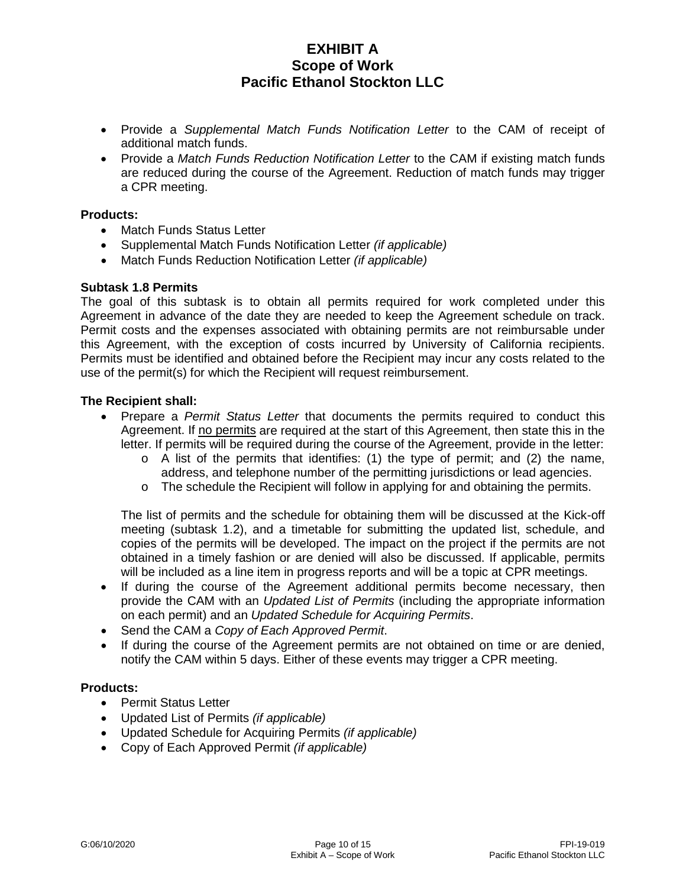- Provide a *Supplemental Match Funds Notification Letter* to the CAM of receipt of additional match funds.
- Provide a *Match Funds Reduction Notification Letter* to the CAM if existing match funds are reduced during the course of the Agreement. Reduction of match funds may trigger a CPR meeting.

### **Products:**

- Match Funds Status Letter
- Supplemental Match Funds Notification Letter *(if applicable)*
- Match Funds Reduction Notification Letter *(if applicable)*

### **Subtask 1.8 Permits**

The goal of this subtask is to obtain all permits required for work completed under this Agreement in advance of the date they are needed to keep the Agreement schedule on track. Permit costs and the expenses associated with obtaining permits are not reimbursable under this Agreement, with the exception of costs incurred by University of California recipients. Permits must be identified and obtained before the Recipient may incur any costs related to the use of the permit(s) for which the Recipient will request reimbursement.

### **The Recipient shall:**

- Prepare a *Permit Status Letter* that documents the permits required to conduct this Agreement. If no permits are required at the start of this Agreement, then state this in the letter. If permits will be required during the course of the Agreement, provide in the letter:
	- $\circ$  A list of the permits that identifies: (1) the type of permit; and (2) the name, address, and telephone number of the permitting jurisdictions or lead agencies.
	- $\circ$  The schedule the Recipient will follow in applying for and obtaining the permits.

The list of permits and the schedule for obtaining them will be discussed at the Kick-off meeting (subtask 1.2), and a timetable for submitting the updated list, schedule, and copies of the permits will be developed. The impact on the project if the permits are not obtained in a timely fashion or are denied will also be discussed. If applicable, permits will be included as a line item in progress reports and will be a topic at CPR meetings.

- If during the course of the Agreement additional permits become necessary, then provide the CAM with an *Updated List of Permits* (including the appropriate information on each permit) and an *Updated Schedule for Acquiring Permits*.
- Send the CAM a *Copy of Each Approved Permit*.
- If during the course of the Agreement permits are not obtained on time or are denied, notify the CAM within 5 days. Either of these events may trigger a CPR meeting.

#### **Products:**

- Permit Status Letter
- Updated List of Permits *(if applicable)*
- Updated Schedule for Acquiring Permits *(if applicable)*
- Copy of Each Approved Permit *(if applicable)*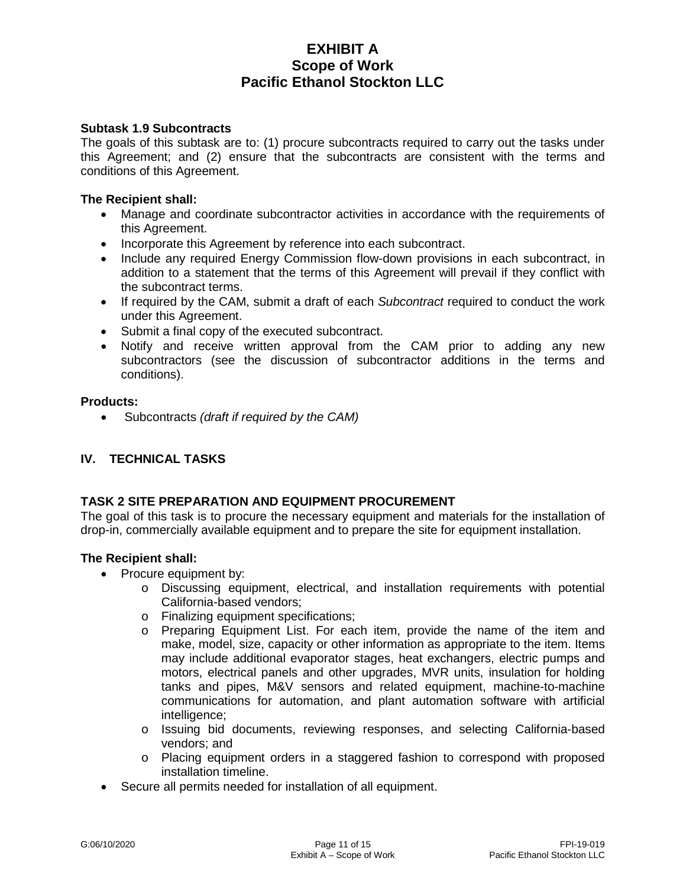### **Subtask 1.9 Subcontracts**

The goals of this subtask are to: (1) procure subcontracts required to carry out the tasks under this Agreement; and (2) ensure that the subcontracts are consistent with the terms and conditions of this Agreement.

#### **The Recipient shall:**

- Manage and coordinate subcontractor activities in accordance with the requirements of this Agreement.
- Incorporate this Agreement by reference into each subcontract.
- Include any required Energy Commission flow-down provisions in each subcontract, in addition to a statement that the terms of this Agreement will prevail if they conflict with the subcontract terms.
- If required by the CAM, submit a draft of each *Subcontract* required to conduct the work under this Agreement.
- Submit a final copy of the executed subcontract.
- Notify and receive written approval from the CAM prior to adding any new subcontractors (see the discussion of subcontractor additions in the terms and conditions).

#### **Products:**

• Subcontracts *(draft if required by the CAM)*

## **IV. TECHNICAL TASKS**

## **TASK 2 SITE PREPARATION AND EQUIPMENT PROCUREMENT**

The goal of this task is to procure the necessary equipment and materials for the installation of drop-in, commercially available equipment and to prepare the site for equipment installation.

- Procure equipment by:
	- o Discussing equipment, electrical, and installation requirements with potential California-based vendors;
	- o Finalizing equipment specifications;<br>o Preparing Equipment List. For eac
	- Preparing Equipment List. For each item, provide the name of the item and make, model, size, capacity or other information as appropriate to the item. Items may include additional evaporator stages, heat exchangers, electric pumps and motors, electrical panels and other upgrades, MVR units, insulation for holding tanks and pipes, M&V sensors and related equipment, machine-to-machine communications for automation, and plant automation software with artificial intelligence;
	- o Issuing bid documents, reviewing responses, and selecting California-based vendors; and
	- o Placing equipment orders in a staggered fashion to correspond with proposed installation timeline.
- Secure all permits needed for installation of all equipment.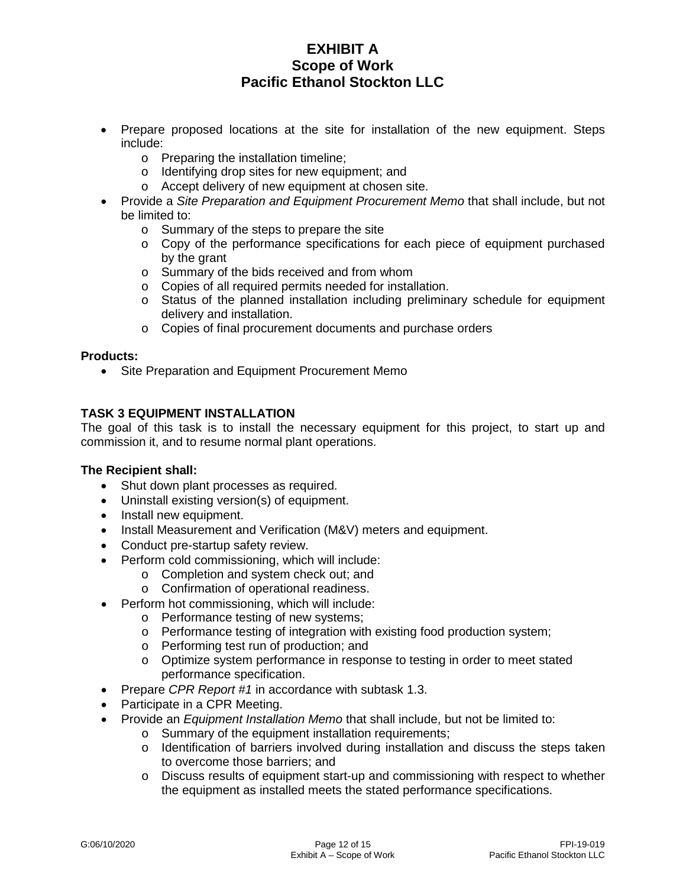- Prepare proposed locations at the site for installation of the new equipment. Steps include:
	- o Preparing the installation timeline;
	- o Identifying drop sites for new equipment; and
	- o Accept delivery of new equipment at chosen site.
- Provide a *Site Preparation and Equipment Procurement Memo* that shall include, but not be limited to:
	- o Summary of the steps to prepare the site
	- $\circ$  Copy of the performance specifications for each piece of equipment purchased by the grant
	- o Summary of the bids received and from whom
	- o Copies of all required permits needed for installation.
	- o Status of the planned installation including preliminary schedule for equipment delivery and installation.
	- o Copies of final procurement documents and purchase orders

#### **Products:**

• Site Preparation and Equipment Procurement Memo

## **TASK 3 EQUIPMENT INSTALLATION**

The goal of this task is to install the necessary equipment for this project, to start up and commission it, and to resume normal plant operations.

- Shut down plant processes as required.
- Uninstall existing version(s) of equipment.
- Install new equipment.
- Install Measurement and Verification (M&V) meters and equipment.
- Conduct pre-startup safety review.
- Perform cold commissioning, which will include:
	- o Completion and system check out; and
	- o Confirmation of operational readiness.
- Perform hot commissioning, which will include:
	- o Performance testing of new systems;
	- o Performance testing of integration with existing food production system;
	- o Performing test run of production; and
	- o Optimize system performance in response to testing in order to meet stated performance specification.
- Prepare *CPR Report #1* in accordance with subtask 1.3.
- Participate in a CPR Meeting.
- Provide an *Equipment Installation Memo* that shall include, but not be limited to:
	- o Summary of the equipment installation requirements;
		- $\circ$  Identification of barriers involved during installation and discuss the steps taken to overcome those barriers; and
		- o Discuss results of equipment start-up and commissioning with respect to whether the equipment as installed meets the stated performance specifications.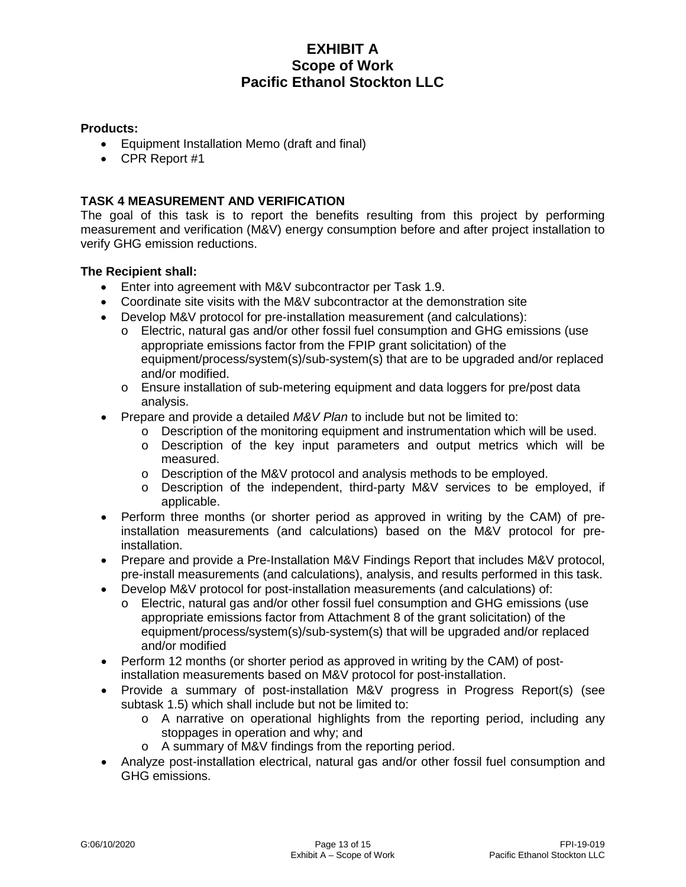### **Products:**

- Equipment Installation Memo (draft and final)
- CPR Report #1

## **TASK 4 MEASUREMENT AND VERIFICATION**

The goal of this task is to report the benefits resulting from this project by performing measurement and verification (M&V) energy consumption before and after project installation to verify GHG emission reductions.

- Enter into agreement with M&V subcontractor per Task 1.9.
- Coordinate site visits with the M&V subcontractor at the demonstration site
- Develop M&V protocol for pre-installation measurement (and calculations):
	- o Electric, natural gas and/or other fossil fuel consumption and GHG emissions (use appropriate emissions factor from the FPIP grant solicitation) of the equipment/process/system(s)/sub-system(s) that are to be upgraded and/or replaced and/or modified.
	- o Ensure installation of sub-metering equipment and data loggers for pre/post data analysis.
- Prepare and provide a detailed *M&V Plan* to include but not be limited to:
	- $\circ$  Description of the monitoring equipment and instrumentation which will be used.
	- o Description of the key input parameters and output metrics which will be measured.
	- o Description of the M&V protocol and analysis methods to be employed.
	- $\circ$  Description of the independent, third-party M&V services to be employed, if applicable.
- Perform three months (or shorter period as approved in writing by the CAM) of preinstallation measurements (and calculations) based on the M&V protocol for preinstallation.
- Prepare and provide a Pre-Installation M&V Findings Report that includes M&V protocol, pre-install measurements (and calculations), analysis, and results performed in this task.
- Develop M&V protocol for post-installation measurements (and calculations) of:
	- o Electric, natural gas and/or other fossil fuel consumption and GHG emissions (use appropriate emissions factor from Attachment 8 of the grant solicitation) of the equipment/process/system(s)/sub-system(s) that will be upgraded and/or replaced and/or modified
- Perform 12 months (or shorter period as approved in writing by the CAM) of postinstallation measurements based on M&V protocol for post-installation.
- Provide a summary of post-installation M&V progress in Progress Report(s) (see subtask 1.5) which shall include but not be limited to:
	- o A narrative on operational highlights from the reporting period, including any stoppages in operation and why; and
	- o A summary of M&V findings from the reporting period.
- Analyze post-installation electrical, natural gas and/or other fossil fuel consumption and GHG emissions.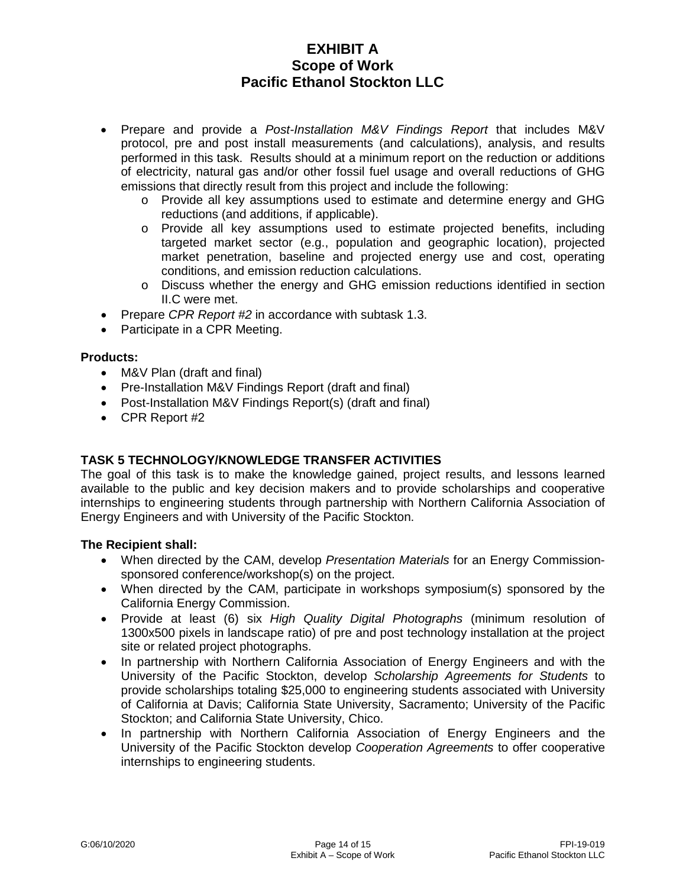- Prepare and provide a *Post-Installation M&V Findings Report* that includes M&V protocol, pre and post install measurements (and calculations), analysis, and results performed in this task. Results should at a minimum report on the reduction or additions of electricity, natural gas and/or other fossil fuel usage and overall reductions of GHG emissions that directly result from this project and include the following:
	- o Provide all key assumptions used to estimate and determine energy and GHG reductions (and additions, if applicable).
	- o Provide all key assumptions used to estimate projected benefits, including targeted market sector (e.g., population and geographic location), projected market penetration, baseline and projected energy use and cost, operating conditions, and emission reduction calculations.
	- o Discuss whether the energy and GHG emission reductions identified in section II.C were met.
- Prepare *CPR Report #2* in accordance with subtask 1.3.
- Participate in a CPR Meeting.

### **Products:**

- M&V Plan (draft and final)
- Pre-Installation M&V Findings Report (draft and final)
- Post-Installation M&V Findings Report(s) (draft and final)
- CPR Report #2

## **TASK 5 TECHNOLOGY/KNOWLEDGE TRANSFER ACTIVITIES**

The goal of this task is to make the knowledge gained, project results, and lessons learned available to the public and key decision makers and to provide scholarships and cooperative internships to engineering students through partnership with Northern California Association of Energy Engineers and with University of the Pacific Stockton.

- When directed by the CAM, develop *Presentation Materials* for an Energy Commissionsponsored conference/workshop(s) on the project.
- When directed by the CAM, participate in workshops symposium(s) sponsored by the California Energy Commission.
- Provide at least (6) six *High Quality Digital Photographs* (minimum resolution of 1300x500 pixels in landscape ratio) of pre and post technology installation at the project site or related project photographs.
- In partnership with Northern California Association of Energy Engineers and with the University of the Pacific Stockton, develop *Scholarship Agreements for Students* to provide scholarships totaling \$25,000 to engineering students associated with University of California at Davis; California State University, Sacramento; University of the Pacific Stockton; and California State University, Chico.
- In partnership with Northern California Association of Energy Engineers and the University of the Pacific Stockton develop *Cooperation Agreements* to offer cooperative internships to engineering students.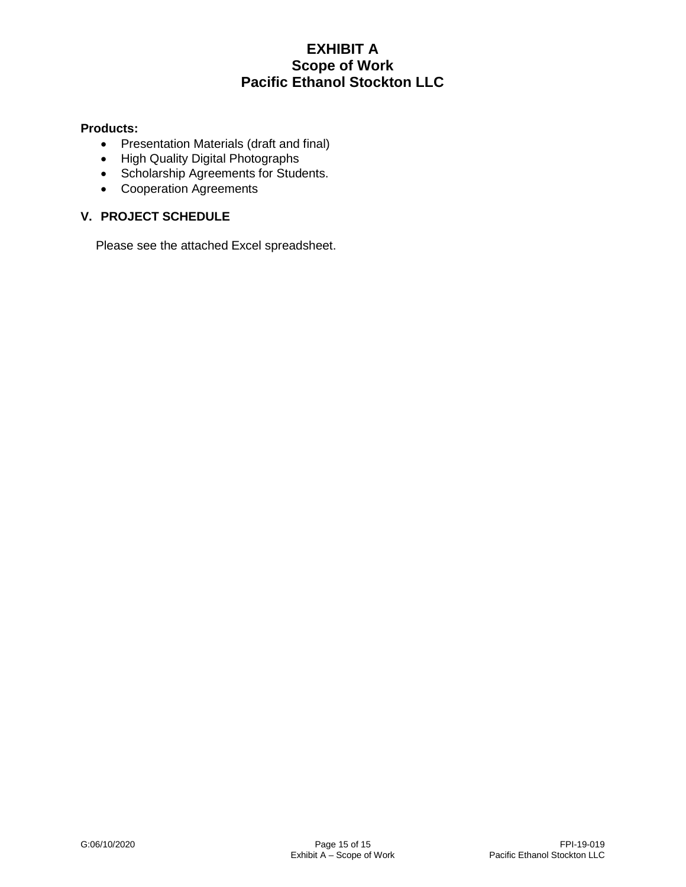### **Products:**

- Presentation Materials (draft and final)
- High Quality Digital Photographs
- Scholarship Agreements for Students.
- Cooperation Agreements

## **V. PROJECT SCHEDULE**

Please see the attached Excel spreadsheet.